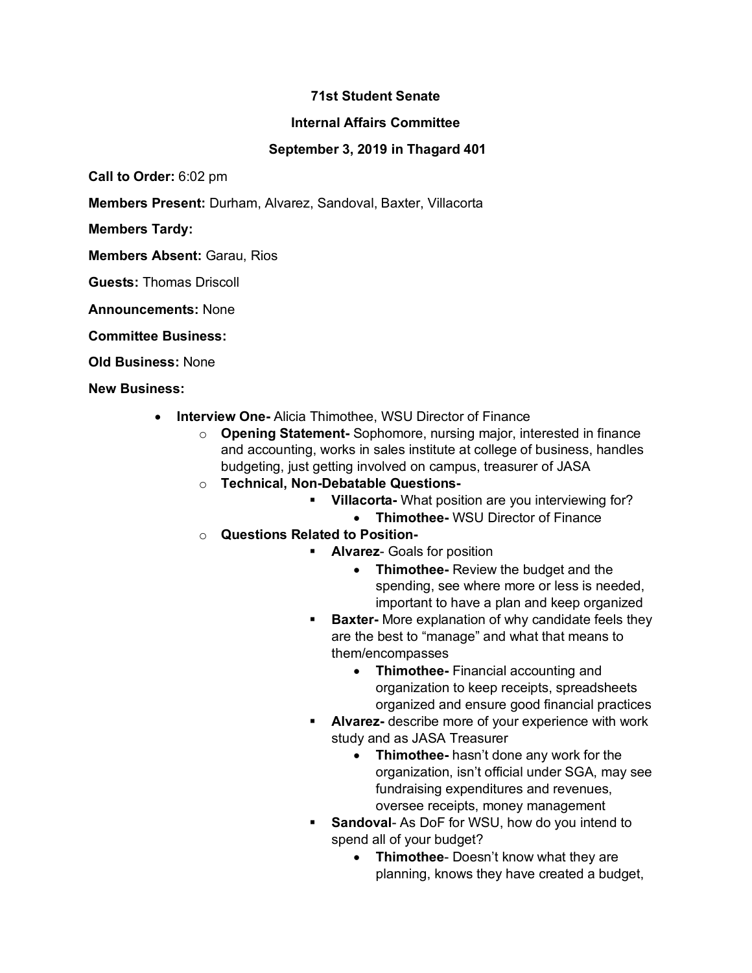## **71st Student Senate**

## **Internal Affairs Committee**

## **September 3, 2019 in Thagard 401**

**Call to Order:** 6:02 pm

**Members Present:** Durham, Alvarez, Sandoval, Baxter, Villacorta

**Members Tardy:**

**Members Absent:** Garau, Rios

**Guests:** Thomas Driscoll

**Announcements:** None

**Committee Business:**

**Old Business:** None

**New Business:**

- **Interview One-** Alicia Thimothee, WSU Director of Finance
	- o **Opening Statement-** Sophomore, nursing major, interested in finance and accounting, works in sales institute at college of business, handles budgeting, just getting involved on campus, treasurer of JASA
	- o **Technical, Non-Debatable Questions-**
		- § **Villacorta-** What position are you interviewing for?
			- **Thimothee-** WSU Director of Finance
	- o **Questions Related to Position-**
		- **EXECUTE:** Alvarez- Goals for position
			- **Thimothee-** Review the budget and the spending, see where more or less is needed, important to have a plan and keep organized
		- **Baxter-** More explanation of why candidate feels they are the best to "manage" and what that means to them/encompasses
			- **Thimothee-** Financial accounting and organization to keep receipts, spreadsheets organized and ensure good financial practices
		- § **Alvarez-** describe more of your experience with work study and as JASA Treasurer
			- **Thimothee-** hasn't done any work for the organization, isn't official under SGA, may see fundraising expenditures and revenues, oversee receipts, money management
		- **Sandoval-As DoF for WSU, how do you intend to** spend all of your budget?
			- **Thimothee** Doesn't know what they are planning, knows they have created a budget,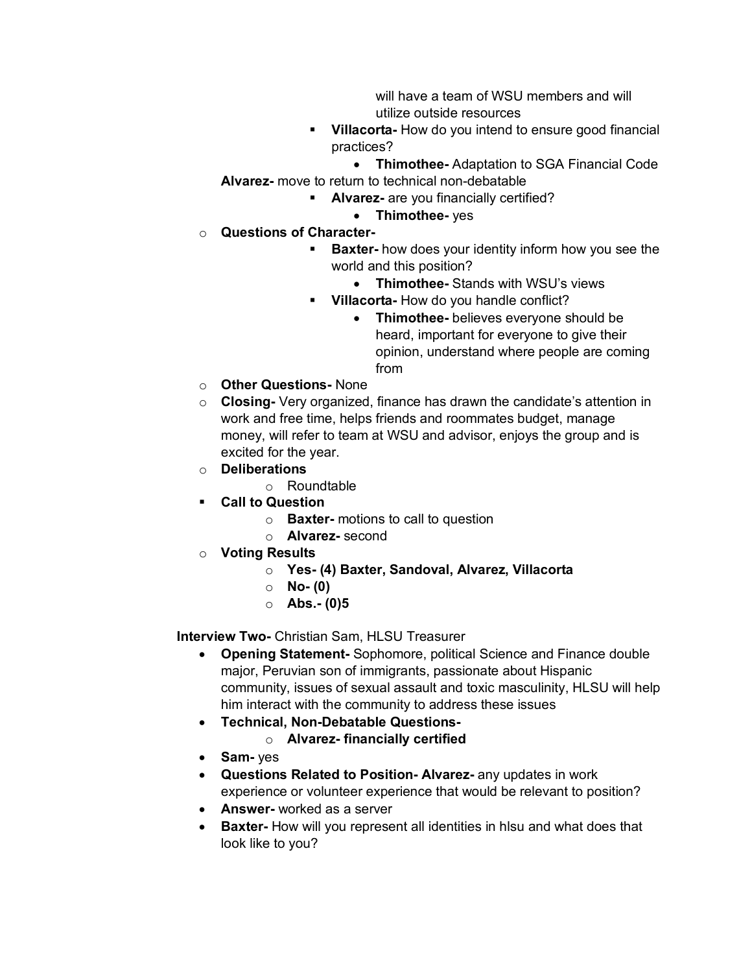will have a team of WSU members and will utilize outside resources

- § **Villacorta-** How do you intend to ensure good financial practices?
- **Thimothee-** Adaptation to SGA Financial Code **Alvarez-** move to return to technical non-debatable
	- § **Alvarez-** are you financially certified?
		- **Thimothee-** yes
- o **Questions of Character-**
	- **Baxter-** how does your identity inform how you see the world and this position?
		- **Thimothee-** Stands with WSU's views
	- § **Villacorta-** How do you handle conflict?
		- **Thimothee-** believes everyone should be heard, important for everyone to give their opinion, understand where people are coming from
- o **Other Questions-** None
- o **Closing-** Very organized, finance has drawn the candidate's attention in work and free time, helps friends and roommates budget, manage money, will refer to team at WSU and advisor, enjoys the group and is excited for the year.
- o **Deliberations**
	- o Roundtable
- § **Call to Question**
	- o **Baxter-** motions to call to question
	- o **Alvarez-** second
- o **Voting Results**
	- o **Yes- (4) Baxter, Sandoval, Alvarez, Villacorta**
	- o **No- (0)**
	- o **Abs.- (0)5**

**Interview Two-** Christian Sam, HLSU Treasurer

- **Opening Statement-** Sophomore, political Science and Finance double major, Peruvian son of immigrants, passionate about Hispanic community, issues of sexual assault and toxic masculinity, HLSU will help him interact with the community to address these issues
- **Technical, Non-Debatable Questions**
	- o **Alvarez- financially certified**
- **Sam-** yes
- **Questions Related to Position- Alvarez-** any updates in work experience or volunteer experience that would be relevant to position?
- **Answer-** worked as a server
- **Baxter-** How will you represent all identities in hlsu and what does that look like to you?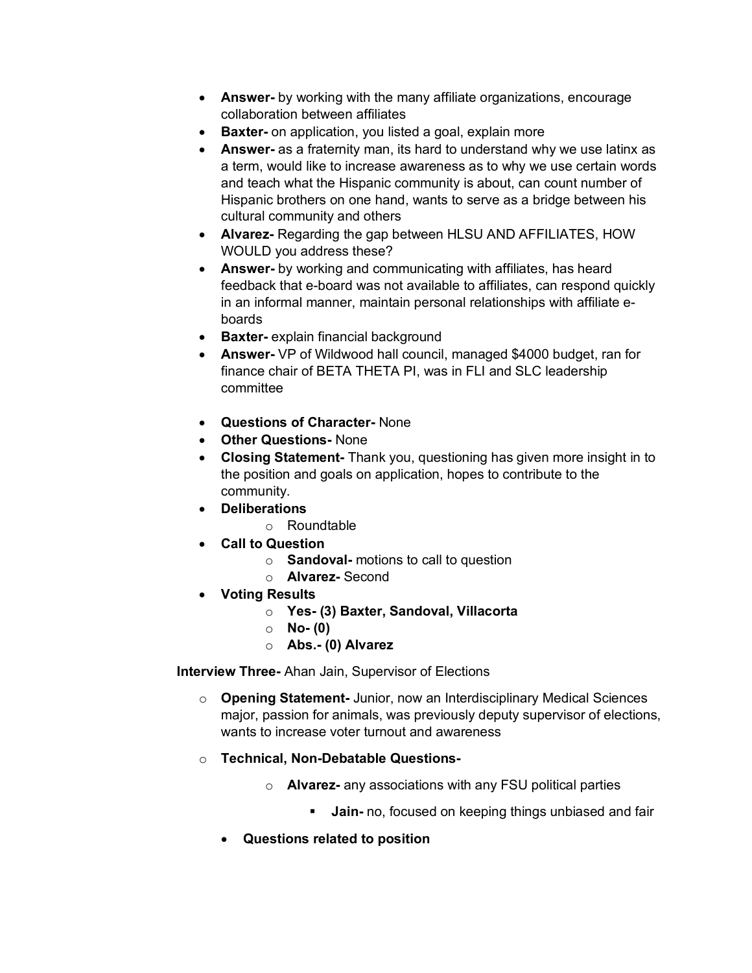- **Answer-** by working with the many affiliate organizations, encourage collaboration between affiliates
- **Baxter-** on application, you listed a goal, explain more
- **Answer-** as a fraternity man, its hard to understand why we use latinx as a term, would like to increase awareness as to why we use certain words and teach what the Hispanic community is about, can count number of Hispanic brothers on one hand, wants to serve as a bridge between his cultural community and others
- **Alvarez-** Regarding the gap between HLSU AND AFFILIATES, HOW WOULD you address these?
- **Answer-** by working and communicating with affiliates, has heard feedback that e-board was not available to affiliates, can respond quickly in an informal manner, maintain personal relationships with affiliate eboards
- **Baxter-** explain financial background
- **Answer-** VP of Wildwood hall council, managed \$4000 budget, ran for finance chair of BETA THETA PI, was in FLI and SLC leadership committee
- **Questions of Character-** None
- **Other Questions-** None
- **Closing Statement-** Thank you, questioning has given more insight in to the position and goals on application, hopes to contribute to the community.
- **Deliberations**
	- o Roundtable
- **Call to Question**
	- o **Sandoval-** motions to call to question
	- o **Alvarez-** Second
- **Voting Results**
	- o **Yes- (3) Baxter, Sandoval, Villacorta**
	- o **No- (0)**
	- o **Abs.- (0) Alvarez**

**Interview Three-** Ahan Jain, Supervisor of Elections

- o **Opening Statement-** Junior, now an Interdisciplinary Medical Sciences major, passion for animals, was previously deputy supervisor of elections, wants to increase voter turnout and awareness
- o **Technical, Non-Debatable Questions**
	- o **Alvarez-** any associations with any FSU political parties
		- **Jain-** no, focused on keeping things unbiased and fair
	- **Questions related to position**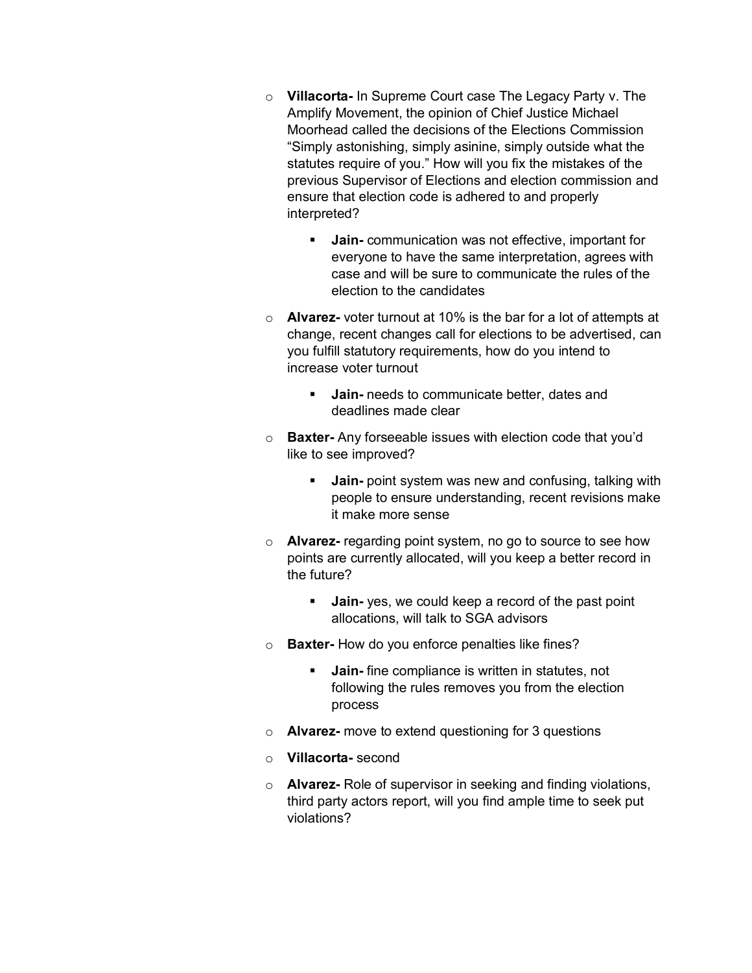- o **Villacorta-** In Supreme Court case The Legacy Party v. The Amplify Movement, the opinion of Chief Justice Michael Moorhead called the decisions of the Elections Commission "Simply astonishing, simply asinine, simply outside what the statutes require of you." How will you fix the mistakes of the previous Supervisor of Elections and election commission and ensure that election code is adhered to and properly interpreted?
	- **Jain-** communication was not effective, important for everyone to have the same interpretation, agrees with case and will be sure to communicate the rules of the election to the candidates
- o **Alvarez-** voter turnout at 10% is the bar for a lot of attempts at change, recent changes call for elections to be advertised, can you fulfill statutory requirements, how do you intend to increase voter turnout
	- **Jain-** needs to communicate better, dates and deadlines made clear
- o **Baxter-** Any forseeable issues with election code that you'd like to see improved?
	- **Jain-** point system was new and confusing, talking with people to ensure understanding, recent revisions make it make more sense
- o **Alvarez-** regarding point system, no go to source to see how points are currently allocated, will you keep a better record in the future?
	- **Jain-** yes, we could keep a record of the past point allocations, will talk to SGA advisors
- o **Baxter-** How do you enforce penalties like fines?
	- **Jain-** fine compliance is written in statutes, not following the rules removes you from the election process
- o **Alvarez-** move to extend questioning for 3 questions
- o **Villacorta-** second
- o **Alvarez-** Role of supervisor in seeking and finding violations, third party actors report, will you find ample time to seek put violations?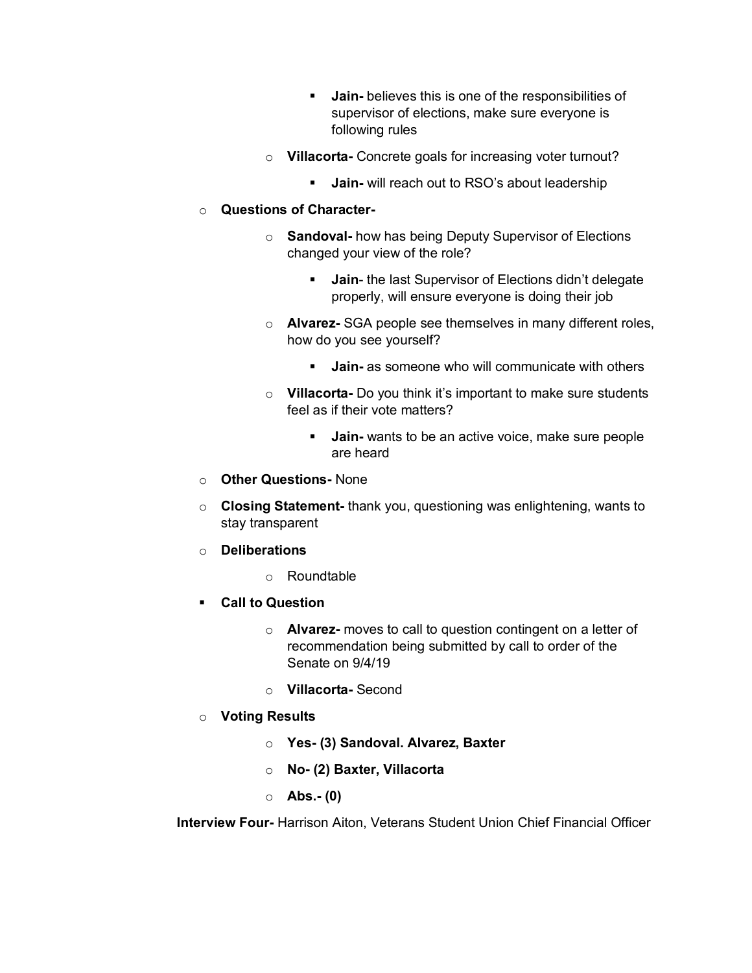- **Jain-** believes this is one of the responsibilities of supervisor of elections, make sure everyone is following rules
- o **Villacorta-** Concrete goals for increasing voter turnout?
	- **Jain-** will reach out to RSO's about leadership

## o **Questions of Character-**

- o **Sandoval-** how has being Deputy Supervisor of Elections changed your view of the role?
	- **Jain-** the last Supervisor of Elections didn't delegate properly, will ensure everyone is doing their job
- o **Alvarez-** SGA people see themselves in many different roles, how do you see yourself?
	- **Jain-** as someone who will communicate with others
- o **Villacorta-** Do you think it's important to make sure students feel as if their vote matters?
	- § **Jain-** wants to be an active voice, make sure people are heard
- o **Other Questions-** None
- o **Closing Statement-** thank you, questioning was enlightening, wants to stay transparent
- o **Deliberations**
	- o Roundtable
- § **Call to Question**
	- o **Alvarez-** moves to call to question contingent on a letter of recommendation being submitted by call to order of the Senate on 9/4/19
	- o **Villacorta-** Second
- o **Voting Results**
	- o **Yes- (3) Sandoval. Alvarez, Baxter**
	- o **No- (2) Baxter, Villacorta**
	- o **Abs.- (0)**

**Interview Four-** Harrison Aiton, Veterans Student Union Chief Financial Officer